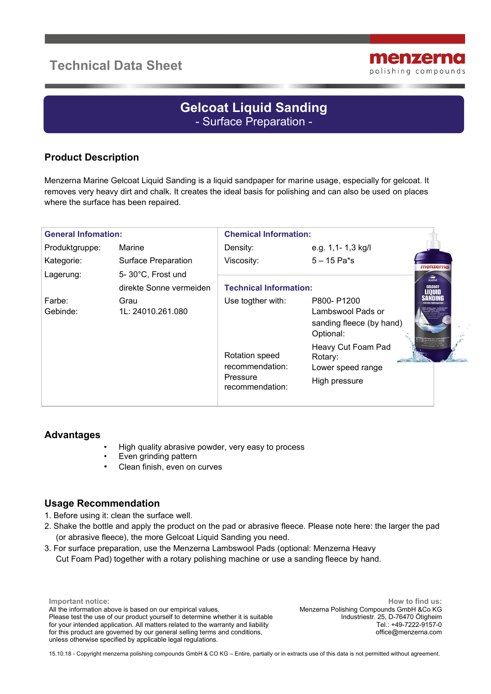# **Technical Data Sheet**



# **Gelcoat Liquid Sanding** - Surface Preparation -

## **Product Description**

Menzerna Marine Gelcoat Liquid Sanding is a liquid sandpaper for marine usage, especially for gelcoat. It removes very heavy dirt and chalk. It creates the ideal basis for polishing and can also be used on places where the surface has been repaired.

| <b>General Infomation:</b> |                                              | <b>Chemical Information:</b>                                     |                                                                          |
|----------------------------|----------------------------------------------|------------------------------------------------------------------|--------------------------------------------------------------------------|
| Produktgruppe:             | Marine                                       | Density:                                                         | e.g. 1,1- 1,3 kg/l                                                       |
| Kategorie:                 | <b>Surface Preparation</b>                   | Viscosity:                                                       | $5 - 15$ Pa*s<br>menzerna                                                |
| Lagerung:                  | 5-30°C, Frost und<br>direkte Sonne vermeiden | <b>Technical Information:</b>                                    | <b>MARINE</b><br><b>GELCOAT</b>                                          |
| Farbe:<br>Gebinde:         | Grau<br>1L: 24010.261.080                    | Use togther with:                                                | P800-P1200<br>Lambswool Pads or<br>sanding fleece (by hand)<br>Optional: |
|                            |                                              | Rotation speed<br>recommendation:<br>Pressure<br>recommendation: | Heavy Cut Foam Pad<br>Rotary:<br>Lower speed range<br>High pressure      |

#### **Advantages**

- High quality abrasive powder, very easy to process
- Even grinding pattern
- Clean finish, even on curves

#### **Usage Recommendation**

- 1. Before using it: clean the surface well.
- 2. Shake the bottle and apply the product on the pad or abrasive fleece. Please note here: the larger the pad (or abrasive fleece), the more Gelcoat Liquid Sanding you need.
- 3. For surface preparation, use the Menzerna Lambswool Pads (optional: Menzerna Heavy Cut Foam Pad) together with a rotary polishing machine or use a sanding fleece by hand.

**Important notice**: All the information above is based on our empirical values. Please test the use of our product yourself to determine whether it is suitable for your intended application. All matters related to the warranty and liability for this product are governed by our general selling terms and conditions, unless otherwise specified by applicable legal regulations.

**How to find us:** Menzerna Polishing Compounds GmbH &Co KG Industriestr. 25, D-76470 Ötigheim Tel.: +49-7222-9157-0 office@menzerna.com

15.10.18 - Copyright menzerna polishing compounds GmbH & CO KG – Entire, partially or in extracts use of this data is not permitted without agreement.